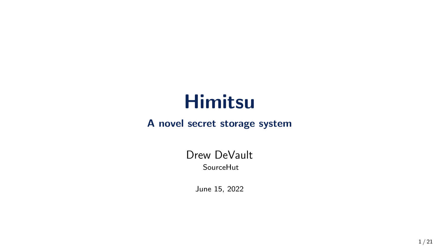# Himitsu

#### A novel secret storage system

#### Drew DeVault SourceHut

June 15, 2022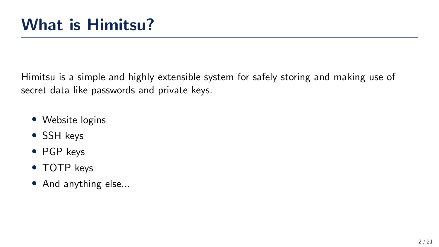Himitsu is a simple and highly extensible system for safely storing and making use of secret data like passwords and private keys.

- Website logins
- SSH keys
- PGP keys
- TOTP keys
- And anything else...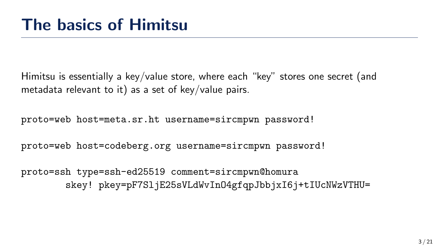Himitsu is essentially a key/value store, where each "key" stores one secret (and metadata relevant to it) as a set of key/value pairs.

proto=web host=meta.sr.ht username=sircmpwn password!

proto=web host=codeberg.org username=sircmpwn password!

proto=ssh type=ssh-ed25519 comment=sircmpwn@homura skey! pkey=pF7SljE25sVLdWvInO4gfqpJbbjxI6j+tIUcNWzVTHU=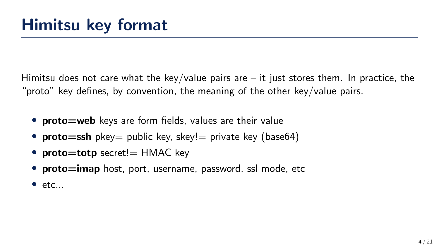Himitsu does not care what the key/value pairs are  $-$  it just stores them. In practice, the "proto" key defines, by convention, the meaning of the other key/value pairs.

- proto=web keys are form fields, values are their value
- **proto=ssh** pkey= public key, skey!= private key (base64)
- proto $=$ totp secret! $=$  HMAC key
- proto=imap host, port, username, password, ssl mode, etc
- $•$  etc...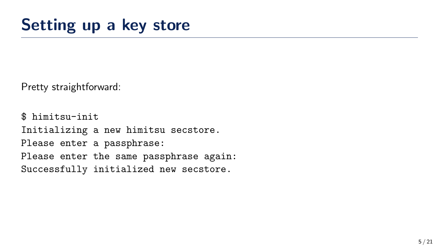Pretty straightforward:

\$ himitsu-init Initializing a new himitsu secstore. Please enter a passphrase: Please enter the same passphrase again: Successfully initialized new secstore.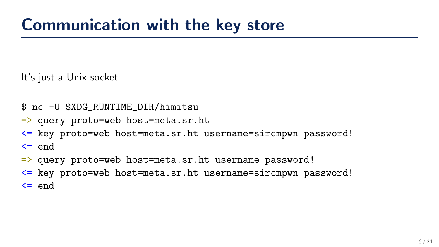It's just a Unix socket.

- \$ nc -U \$XDG\_RUNTIME\_DIR/himitsu
- => query proto=web host=meta.sr.ht
- <= key proto=web host=meta.sr.ht username=sircmpwn password!  $\leq$  end
- => query proto=web host=meta.sr.ht username password!
- <= key proto=web host=meta.sr.ht username=sircmpwn password!  $\leq$  end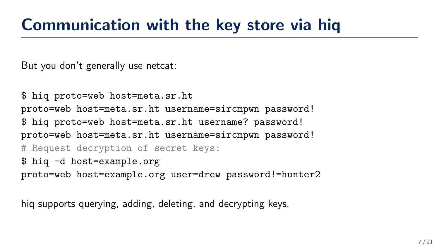But you don't generally use netcat:

```
$ hiq proto=web host=meta.sr.ht
proto=web host=meta.sr.ht username=sircmpwn password!
$ hiq proto=web host=meta.sr.ht username? password!
proto=web host=meta.sr.ht username=sircmpwn password!
# Request decryption of secret keys:
$ hiq -d host=example.org
proto=web host=example.org user=drew password!=hunter2
```
hiq supports querying, adding, deleting, and decrypting keys.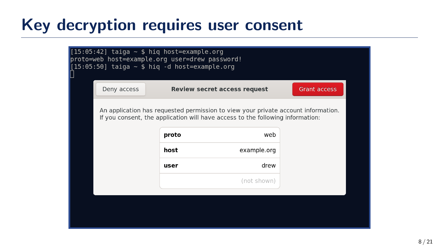#### Key decryption requires user consent

| <b>Grant access</b><br>Deny access<br>Review secret access request<br>An application has requested permission to view your private account information.<br>If you consent, the application will have access to the following information:<br>proto<br>web<br>host<br>example.org<br>drew<br>user<br>(not shown) |  | $[15:05:42]$ taiga $\sim$ \$ hig host=example.org<br>proto=web host=example.org user=drew password!<br>$[15:05:50]$ taiga $\sim$ \$ hig -d host=example.org |  |  |  |  |  |  |  |  |
|-----------------------------------------------------------------------------------------------------------------------------------------------------------------------------------------------------------------------------------------------------------------------------------------------------------------|--|-------------------------------------------------------------------------------------------------------------------------------------------------------------|--|--|--|--|--|--|--|--|
|                                                                                                                                                                                                                                                                                                                 |  |                                                                                                                                                             |  |  |  |  |  |  |  |  |
|                                                                                                                                                                                                                                                                                                                 |  |                                                                                                                                                             |  |  |  |  |  |  |  |  |
|                                                                                                                                                                                                                                                                                                                 |  |                                                                                                                                                             |  |  |  |  |  |  |  |  |
|                                                                                                                                                                                                                                                                                                                 |  |                                                                                                                                                             |  |  |  |  |  |  |  |  |
|                                                                                                                                                                                                                                                                                                                 |  |                                                                                                                                                             |  |  |  |  |  |  |  |  |
|                                                                                                                                                                                                                                                                                                                 |  |                                                                                                                                                             |  |  |  |  |  |  |  |  |
|                                                                                                                                                                                                                                                                                                                 |  |                                                                                                                                                             |  |  |  |  |  |  |  |  |
|                                                                                                                                                                                                                                                                                                                 |  |                                                                                                                                                             |  |  |  |  |  |  |  |  |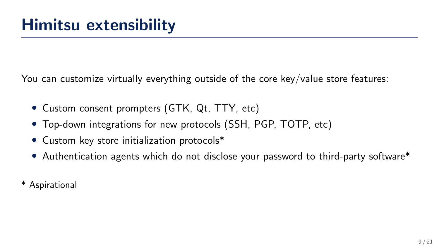You can customize virtually everything outside of the core key/value store features:

- Custom consent prompters (GTK, Qt, TTY, etc)
- Top-down integrations for new protocols (SSH, PGP, TOTP, etc)
- Custom key store initialization protocols\*
- Authentication agents which do not disclose your password to third-party software\*
- \* Aspirational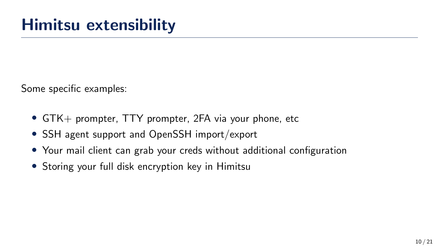Some specific examples:

- GTK+ prompter, TTY prompter, 2FA via your phone, etc
- SSH agent support and OpenSSH import/export
- Your mail client can grab your creds without additional configuration
- Storing your full disk encryption key in Himitsu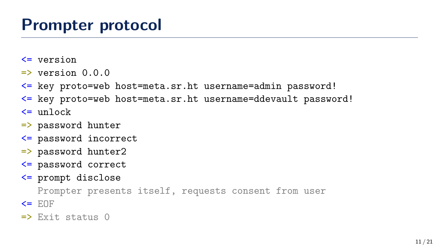- <= version
- $\Rightarrow$  version  $0.0.0$
- <= key proto=web host=meta.sr.ht username=admin password!
- <= key proto=web host=meta.sr.ht username=ddevault password!  $\leq$  unlock
- => password hunter
- <= password incorrect
- => password hunter2
- <= password correct
- <= prompt disclose

Prompter presents itself, requests consent from user

 $\leq$   $E$ OF

 $\Rightarrow$  Exit status  $\theta$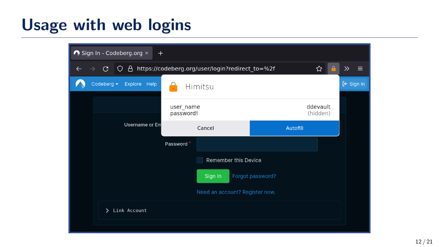## Usage with web logins

| $\bigwedge$ Sign In - Codeberg.org $\times$<br>$+$ |                      |                                                 |                                |                  |                      |   |                            |  |  |  |  |
|----------------------------------------------------|----------------------|-------------------------------------------------|--------------------------------|------------------|----------------------|---|----------------------------|--|--|--|--|
| G<br>O<br>$\rightarrow$                            | A.                   | https://codeberg.org/user/login?redirect_to=%2f |                                |                  |                      | ☆ | $\gg$<br>Ξ                 |  |  |  |  |
| Codeberg $\blacktriangleright$                     | Explore Help         | Himitsu                                         |                                |                  |                      |   | $\left[\leftarrow$ Sign In |  |  |  |  |
|                                                    |                      |                                                 | user_name<br>password!         |                  | ddevault<br>(hidden) |   |                            |  |  |  |  |
| <b>Username or Em</b>                              |                      |                                                 | Cancel                         |                  | Autofill             |   |                            |  |  |  |  |
|                                                    |                      | Password                                        |                                |                  |                      |   |                            |  |  |  |  |
|                                                    | Remember this Device |                                                 |                                |                  |                      |   |                            |  |  |  |  |
|                                                    |                      |                                                 | Sign In                        | Forgot password? |                      |   |                            |  |  |  |  |
|                                                    |                      |                                                 | Need an account? Register now. |                  |                      |   |                            |  |  |  |  |
|                                                    | > Link Account       |                                                 |                                |                  |                      |   |                            |  |  |  |  |
|                                                    |                      |                                                 |                                |                  |                      |   |                            |  |  |  |  |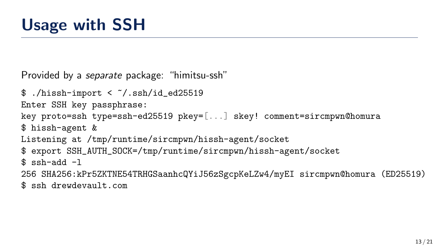```
Provided by a separate package: "himitsu-ssh"
```

```
$./hissh-import < <math>/.ssh/id ed25519
Enter SSH key passphrase:
key proto=ssh type=ssh-ed25519 pkey=[...] skey! comment=sircmpwn@homura
$ hissh-agent &
Listening at /tmp/runtime/sircmpwn/hissh-agent/socket
$ export SSH_AUTH_SOCK=/tmp/runtime/sircmpwn/hissh-agent/socket
$ ssh-add -1
256 SHA256:kPr5ZKTNE54TRHGSaanhcQYiJ56zSgcpKeLZw4/myEI sircmpwn@homura (ED25519)
```
\$ ssh drewdevault.com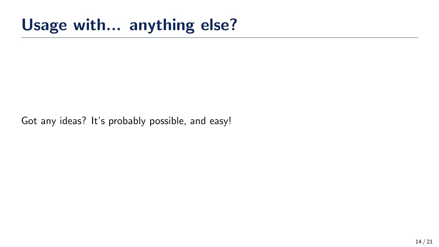### Usage with... anything else?

Got any ideas? It's probably possible, and easy!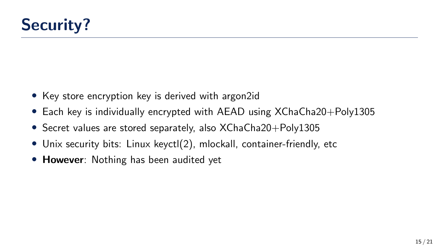- Key store encryption key is derived with argon2id
- Each key is individually encrypted with AEAD using XChaCha20+Poly1305
- Secret values are stored separately, also XChaCha20+Poly1305
- Unix security bits: Linux keyctl(2), mlockall, container-friendly, etc
- However: Nothing has been audited yet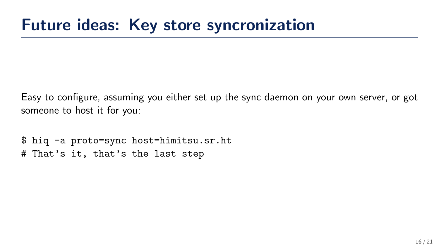Easy to configure, assuming you either set up the sync daemon on your own server, or got someone to host it for you:

\$ hiq -a proto=sync host=himitsu.sr.ht # That's it, that's the last step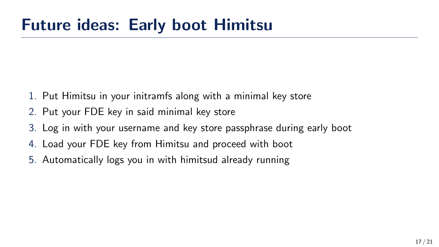- 1. Put Himitsu in your initramfs along with a minimal key store
- 2. Put your FDE key in said minimal key store
- 3. Log in with your username and key store passphrase during early boot
- 4. Load your FDE key from Himitsu and proceed with boot
- 5. Automatically logs you in with himitsud already running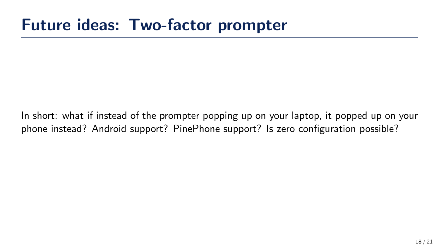In short: what if instead of the prompter popping up on your laptop, it popped up on your phone instead? Android support? PinePhone support? Is zero configuration possible?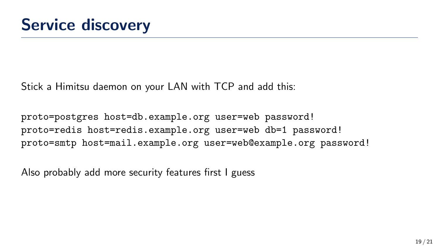Stick a Himitsu daemon on your LAN with TCP and add this:

proto=postgres host=db.example.org user=web password! proto=redis host=redis.example.org user=web db=1 password! proto=smtp host=mail.example.org user=web@example.org password!

Also probably add more security features first I guess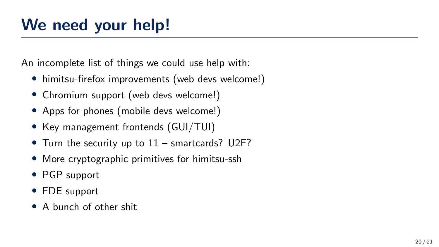An incomplete list of things we could use help with:

- himitsu-firefox improvements (web devs welcome!)
- Chromium support (web devs welcome!)
- Apps for phones (mobile devs welcome!)
- Key management frontends (GUI/TUI)
- Turn the security up to 11 smartcards? U2F?
- More cryptographic primitives for himitsu-ssh
- PGP support
- FDE support
- A bunch of other shit